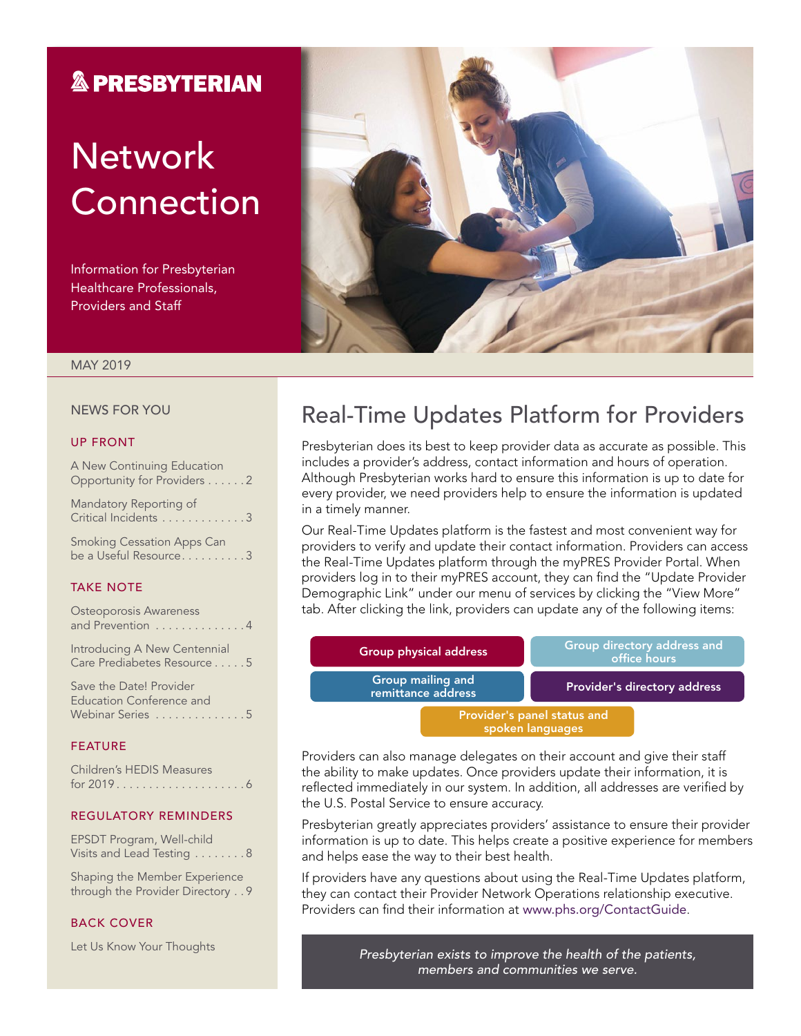### **& PRESBYTERIAN**

# **Network** Connection

Information for Presbyterian Healthcare Professionals, Providers and Staff



### MAY 2019

#### NEWS FOR YOU

#### UP FRONT

A New Continuing Education Opportunity for Providers . . . . . . 2

Mandatory Reporting of Critical Incidents . . . . . . . . . . . . 3

Smoking Cessation Apps Can be a Useful Resource.........3

#### TAKE NOTE

| Osteoporosis Awareness<br>and Prevention 4                              |  |
|-------------------------------------------------------------------------|--|
| Introducing A New Centennial<br>Care Prediabetes Resource5              |  |
| Save the Date! Provider<br>Education Conference and<br>Webinar Series 5 |  |
| <b>FEATURE</b>                                                          |  |
| Children's HEDIS Measures                                               |  |

#### REGULATORY REMINDERS

EPSDT Program, Well-child Visits and Lead Testing . . . . . . . . 8

Shaping the Member Experience through the Provider Directory . . 9

### BACK COVER

Let Us Know Your Thoughts

### Real-Time Updates Platform for Providers

Presbyterian does its best to keep provider data as accurate as possible. This includes a provider's address, contact information and hours of operation. Although Presbyterian works hard to ensure this information is up to date for every provider, we need providers help to ensure the information is updated in a timely manner.

Our Real-Time Updates platform is the fastest and most convenient way for providers to verify and update their contact information. Providers can access the Real-Time Updates platform through the myPRES Provider Portal. When providers log in to their myPRES account, they can find the "Update Provider Demographic Link" under our menu of services by clicking the "View More" tab. After clicking the link, providers can update any of the following items:

| <b>Group physical address</b>                   | Group directory address and<br>office hours |  |
|-------------------------------------------------|---------------------------------------------|--|
| Group mailing and<br>remittance address         | <b>Provider's directory address</b>         |  |
| Provider's panel status and<br>spoken languages |                                             |  |

Providers can also manage delegates on their account and give their staff the ability to make updates. Once providers update their information, it is reflected immediately in our system. In addition, all addresses are verified by the U.S. Postal Service to ensure accuracy.

Presbyterian greatly appreciates providers' assistance to ensure their provider information is up to date. This helps create a positive experience for members and helps ease the way to their best health.

If providers have any questions about using the Real-Time Updates platform, they can contact their Provider Network Operations relationship executive. Providers can find their information at [www.phs.org/ContactGuide](http://www.phs.org/ContactGuide).

> *Presbyterian exists to improve the health of the patients, members and communities we serve.*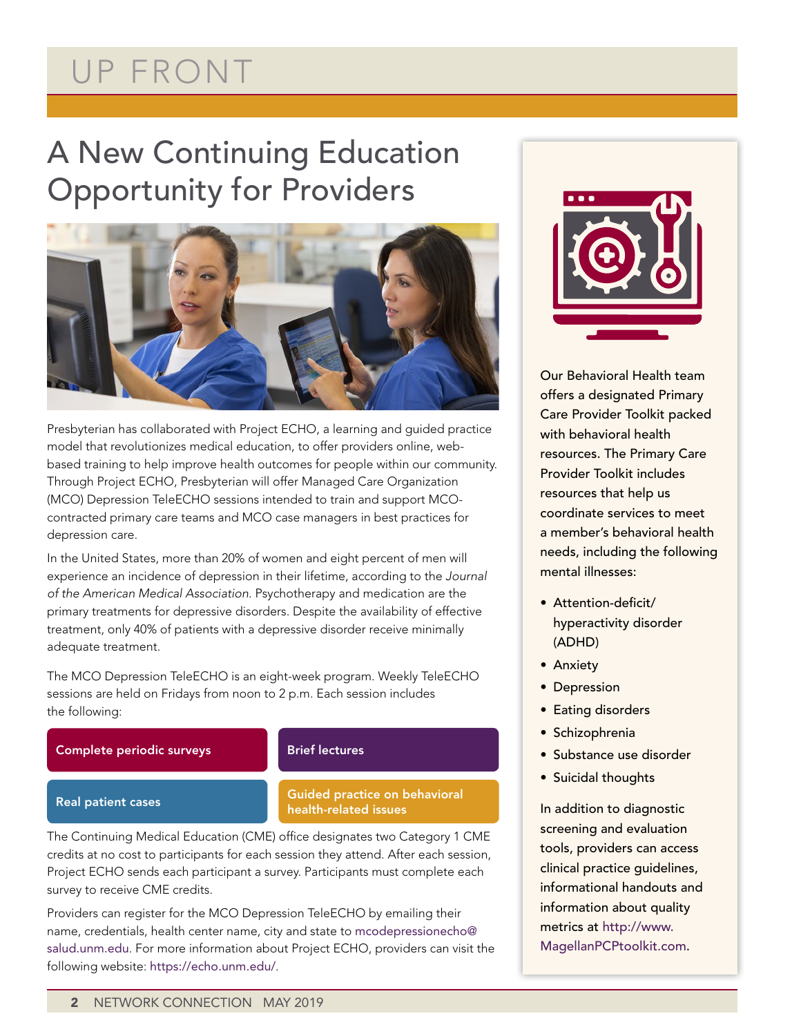# UP FRONT

# A New Continuing Education Opportunity for Providers



Presbyterian has collaborated with Project ECHO, a learning and guided practice model that revolutionizes medical education, to offer providers online, webbased training to help improve health outcomes for people within our community. Through Project ECHO, Presbyterian will offer Managed Care Organization (MCO) Depression TeleECHO sessions intended to train and support MCOcontracted primary care teams and MCO case managers in best practices for depression care.

In the United States, more than 20% of women and eight percent of men will experience an incidence of depression in their lifetime, according to the *Journal of the American Medical Association*. Psychotherapy and medication are the primary treatments for depressive disorders. Despite the availability of effective treatment, only 40% of patients with a depressive disorder receive minimally adequate treatment.

The MCO Depression TeleECHO is an eight-week program. Weekly TeleECHO sessions are held on Fridays from noon to 2 p.m. Each session includes the following:

Complete periodic surveys

### Brief lectures

### Real patient cases

### Guided practice on behavioral health-related issues

The Continuing Medical Education (CME) office designates two Category 1 CME credits at no cost to participants for each session they attend. After each session, Project ECHO sends each participant a survey. Participants must complete each survey to receive CME credits.

Providers can register for the MCO Depression TeleECHO by emailing their name, credentials, health center name, city and state to [mcodepressionecho@](mailto:mcodepressionecho@salud.unm.edu) [salud.unm.edu](mailto:mcodepressionecho@salud.unm.edu). For more information about Project ECHO, providers can visit the following website: <https://echo.unm.edu/>.



Our Behavioral Health team offers a designated Primary Care Provider Toolkit packed with behavioral health resources. The Primary Care Provider Toolkit includes resources that help us coordinate services to meet a member's behavioral health needs, including the following mental illnesses:

- Attention-deficit/ hyperactivity disorder (ADHD)
- Anxiety
- Depression
- Eating disorders
- Schizophrenia
- Substance use disorder
- Suicidal thoughts

In addition to diagnostic screening and evaluation tools, providers can access clinical practice guidelines, informational handouts and information about quality metrics at [http://www.](http://www.MagellanPCPtoolkit.com) [MagellanPCPtoolkit.com.](http://www.MagellanPCPtoolkit.com)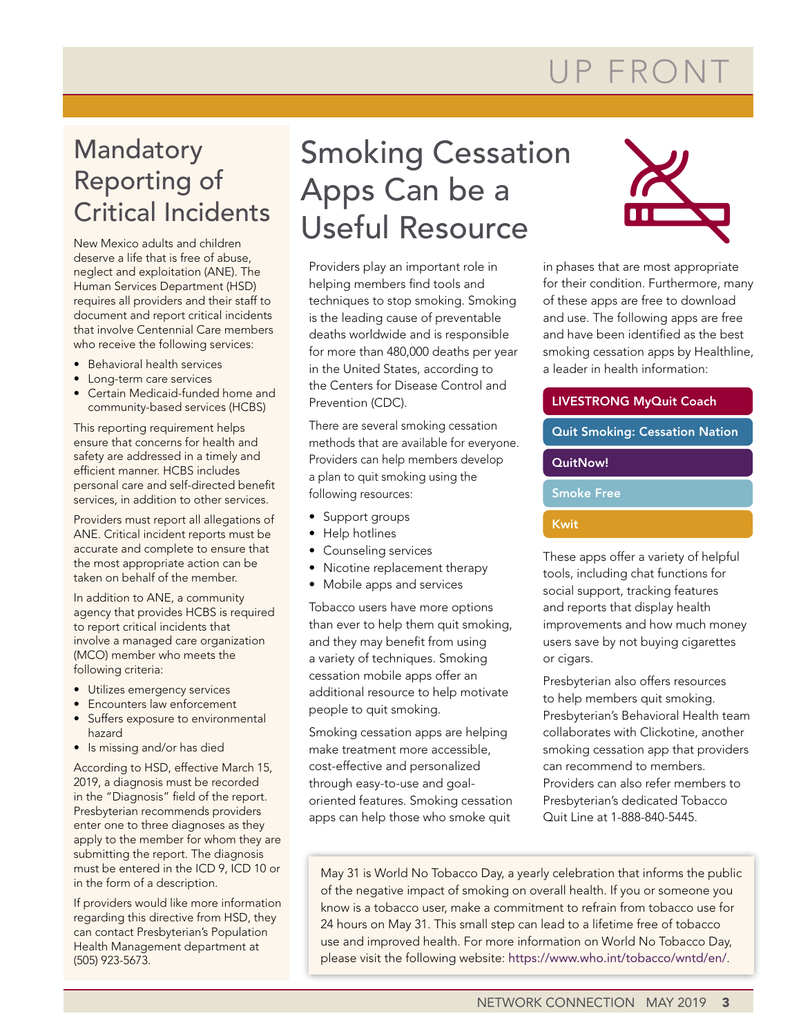# UP FRONT

## Mandatory Reporting of Critical Incidents

New Mexico adults and children deserve a life that is free of abuse, neglect and exploitation (ANE). The Human Services Department (HSD) requires all providers and their staff to document and report critical incidents that involve Centennial Care members who receive the following services:

- Behavioral health services
- Long-term care services
- Certain Medicaid-funded home and community-based services (HCBS)

This reporting requirement helps ensure that concerns for health and safety are addressed in a timely and efficient manner. HCBS includes personal care and self-directed benefit services, in addition to other services.

Providers must report all allegations of ANE. Critical incident reports must be accurate and complete to ensure that the most appropriate action can be taken on behalf of the member.

In addition to ANE, a community agency that provides HCBS is required to report critical incidents that involve a managed care organization (MCO) member who meets the following criteria:

- Utilizes emergency services
- Encounters law enforcement
- Suffers exposure to environmental hazard
- Is missing and/or has died

According to HSD, effective March 15, 2019, a diagnosis must be recorded in the "Diagnosis" field of the report. Presbyterian recommends providers enter one to three diagnoses as they apply to the member for whom they are submitting the report. The diagnosis must be entered in the ICD 9, ICD 10 or in the form of a description.

If providers would like more information regarding this directive from HSD, they can contact Presbyterian's Population Health Management department at (505) 923-5673.

# Smoking Cessation Apps Can be a Useful Resource

Providers play an important role in helping members find tools and techniques to stop smoking. Smoking is the leading cause of preventable deaths worldwide and is responsible for more than 480,000 deaths per year in the United States, according to the Centers for Disease Control and Prevention (CDC).

There are several smoking cessation methods that are available for everyone. Providers can help members develop a plan to quit smoking using the following resources:

- Support groups
- Help hotlines
- Counseling services
- Nicotine replacement therapy
- Mobile apps and services

Tobacco users have more options than ever to help them quit smoking, and they may benefit from using a variety of techniques. Smoking cessation mobile apps offer an additional resource to help motivate people to quit smoking.

Smoking cessation apps are helping make treatment more accessible, cost-effective and personalized through easy-to-use and goaloriented features. Smoking cessation apps can help those who smoke quit



in phases that are most appropriate for their condition. Furthermore, many of these apps are free to download and use. The following apps are free and have been identified as the best smoking cessation apps by Healthline, a leader in health information:

### LIVESTRONG MyQuit Coach

Quit Smoking: Cessation Nation

### QuitNow!

Smoke Free

### Kwit

These apps offer a variety of helpful tools, including chat functions for social support, tracking features and reports that display health improvements and how much money users save by not buying cigarettes or cigars.

Presbyterian also offers resources to help members quit smoking. Presbyterian's Behavioral Health team collaborates with Clickotine, another smoking cessation app that providers can recommend to members. Providers can also refer members to Presbyterian's dedicated Tobacco Quit Line at 1-888-840-5445.

May 31 is World No Tobacco Day, a yearly celebration that informs the public of the negative impact of smoking on overall health. If you or someone you know is a tobacco user, make a commitment to refrain from tobacco use for 24 hours on May 31. This small step can lead to a lifetime free of tobacco use and improved health. For more information on World No Tobacco Day, please visit the following website: <https://www.who.int/tobacco/wntd/en/>.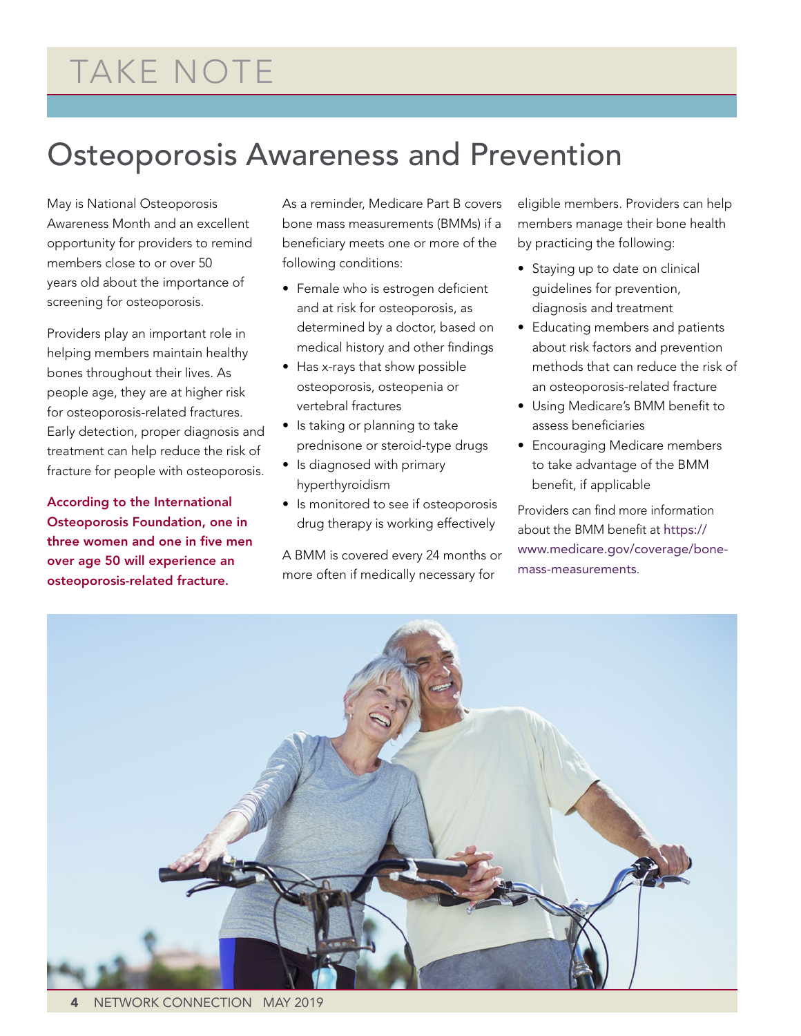## Osteoporosis Awareness and Prevention

May is National Osteoporosis Awareness Month and an excellent opportunity for providers to remind members close to or over 50 years old about the importance of screening for osteoporosis.

Providers play an important role in helping members maintain healthy bones throughout their lives. As people age, they are at higher risk for osteoporosis-related fractures. Early detection, proper diagnosis and treatment can help reduce the risk of fracture for people with osteoporosis.

According to the International Osteoporosis Foundation, one in three women and one in five men over age 50 will experience an osteoporosis-related fracture.

As a reminder, Medicare Part B covers bone mass measurements (BMMs) if a beneficiary meets one or more of the following conditions:

- Female who is estrogen deficient and at risk for osteoporosis, as determined by a doctor, based on medical history and other findings
- Has x-rays that show possible osteoporosis, osteopenia or vertebral fractures
- Is taking or planning to take prednisone or steroid-type drugs
- Is diagnosed with primary hyperthyroidism
- Is monitored to see if osteoporosis drug therapy is working effectively

A BMM is covered every 24 months or more often if medically necessary for

eligible members. Providers can help members manage their bone health by practicing the following:

- Staying up to date on clinical guidelines for prevention, diagnosis and treatment
- Educating members and patients about risk factors and prevention methods that can reduce the risk of an osteoporosis-related fracture
- Using Medicare's BMM benefit to assess beneficiaries
- Encouraging Medicare members to take advantage of the BMM benefit, if applicable

Providers can find more information about the BMM benefit at [https://](https://www.medicare.gov/coverage/bone-mass-measurements) [www.medicare.gov/coverage/bone](https://www.medicare.gov/coverage/bone-mass-measurements)[mass-measurements](https://www.medicare.gov/coverage/bone-mass-measurements).

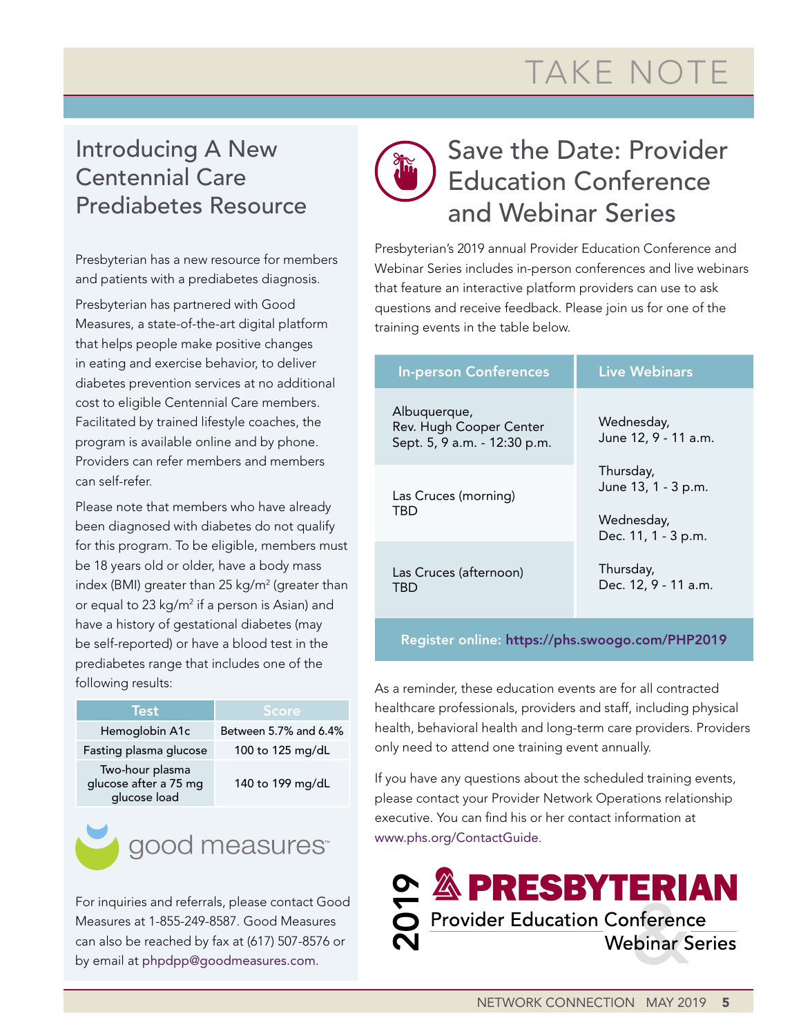# TAKE NOTE

### Introducing A New Centennial Care Prediabetes Resource

Presbyterian has a new resource for members and patients with a prediabetes diagnosis.

Presbyterian has partnered with Good Measures, a state-of-the-art digital platform that helps people make positive changes in eating and exercise behavior, to deliver diabetes prevention services at no additional cost to eligible Centennial Care members. Facilitated by trained lifestyle coaches, the program is available online and by phone. Providers can refer members and members can self-refer.

Please note that members who have already been diagnosed with diabetes do not qualify for this program. To be eligible, members must be 18 years old or older, have a body mass index (BMI) greater than 25 kg/m<sup>2</sup> (greater than or equal to 23 kg/m<sup>2</sup> if a person is Asian) and have a history of gestational diabetes (may be self-reported) or have a blood test in the prediabetes range that includes one of the following results:



For inquiries and referrals, please contact Good Measures at 1-855-249-8587. Good Measures can also be reached by fax at (617) 507-8576 or by email at phpdpp@goodmeasures.com.

## Save the Date: Provider Education Conference and Webinar Series

Presbyterian's 2019 annual Provider Education Conference and Webinar Series includes in-person conferences and live webinars that feature an interactive platform providers can use to ask questions and receive feedback. Please join us for one of the training events in the table below.

| <b>In-person Conferences</b>                                            | <b>Live Webinars</b>                                                  |
|-------------------------------------------------------------------------|-----------------------------------------------------------------------|
| Albuquerque,<br>Rev. Hugh Cooper Center<br>Sept. 5, 9 a.m. - 12:30 p.m. | Wednesday,<br>June 12, 9 - 11 a.m.                                    |
| Las Cruces (morning)<br>TBD                                             | Thursday,<br>June 13, 1 - 3 p.m.<br>Wednesday,<br>Dec. 11, 1 - 3 p.m. |
| Las Cruces (afternoon)<br>TBD                                           | Thursday,<br>Dec. 12, 9 - 11 a.m.                                     |

### Register online: [https://phs.swoogo.com/PHP2019](https://phs.swoogo.com/PHP2018.)

As a reminder, these education events are for all contracted healthcare professionals, providers and staff, including physical health, behavioral health and long-term care providers. Providers only need to attend one training event annually.

If you have any questions about the scheduled training events, please contact your Provider Network Operations relationship executive. You can find his or her contact information at [www.phs.org/ContactGuide](file:///C:\Users\dabeita\AppData\Roaming\Microsoft\Word\www.phs.org\ContactGuide).

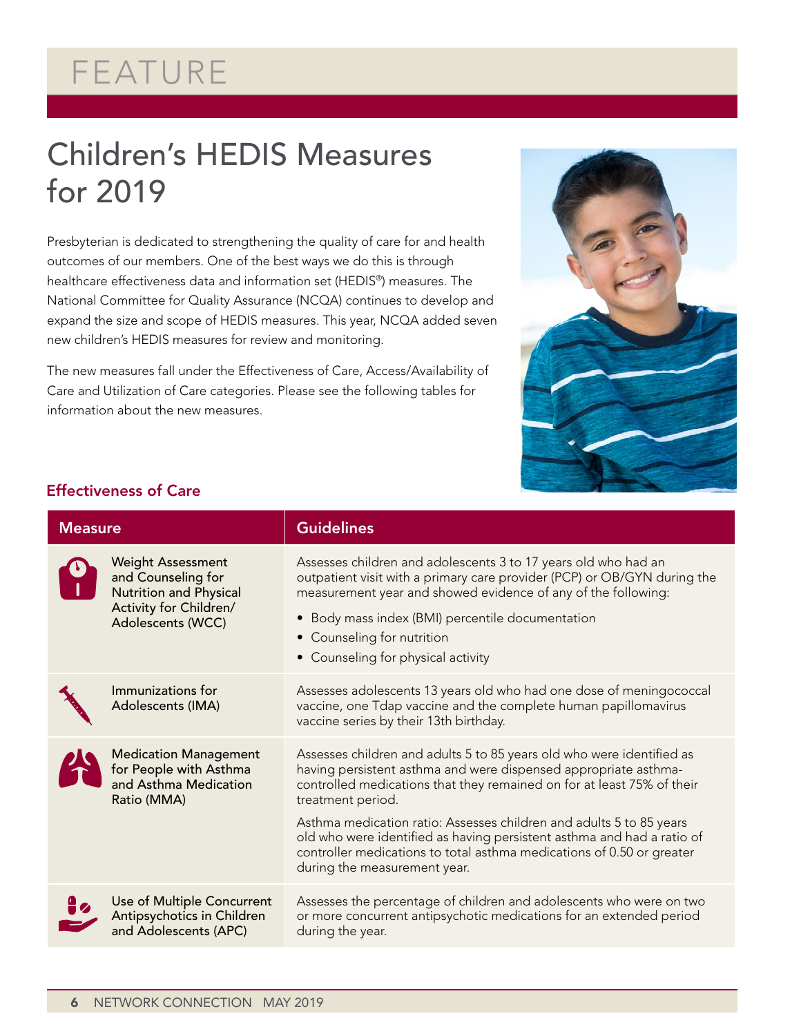# FEATURE

## Children's HEDIS Measures for 2019

Presbyterian is dedicated to strengthening the quality of care for and health outcomes of our members. One of the best ways we do this is through healthcare effectiveness data and information set (HEDIS®) measures. The National Committee for Quality Assurance (NCQA) continues to develop and expand the size and scope of HEDIS measures. This year, NCQA added seven new children's HEDIS measures for review and monitoring.

The new measures fall under the Effectiveness of Care, Access/Availability of Care and Utilization of Care categories. Please see the following tables for information about the new measures.



### Effectiveness of Care

| <b>Measure</b>                         |                                                                                                                         | <b>Guidelines</b>                                                                                                                                                                                                                                                                                                                                                                                                                                                                                 |
|----------------------------------------|-------------------------------------------------------------------------------------------------------------------------|---------------------------------------------------------------------------------------------------------------------------------------------------------------------------------------------------------------------------------------------------------------------------------------------------------------------------------------------------------------------------------------------------------------------------------------------------------------------------------------------------|
|                                        | <b>Weight Assessment</b><br>and Counseling for<br>Nutrition and Physical<br>Activity for Children/<br>Adolescents (WCC) | Assesses children and adolescents 3 to 17 years old who had an<br>outpatient visit with a primary care provider (PCP) or OB/GYN during the<br>measurement year and showed evidence of any of the following:<br>Body mass index (BMI) percentile documentation<br>$\bullet$<br>• Counseling for nutrition<br>• Counseling for physical activity                                                                                                                                                    |
| Immunizations for<br>Adolescents (IMA) |                                                                                                                         | Assesses adolescents 13 years old who had one dose of meningococcal<br>vaccine, one Tdap vaccine and the complete human papillomavirus<br>vaccine series by their 13th birthday.                                                                                                                                                                                                                                                                                                                  |
| Ratio (MMA)                            | <b>Medication Management</b><br>for People with Asthma<br>and Asthma Medication                                         | Assesses children and adults 5 to 85 years old who were identified as<br>having persistent asthma and were dispensed appropriate asthma-<br>controlled medications that they remained on for at least 75% of their<br>treatment period.<br>Asthma medication ratio: Assesses children and adults 5 to 85 years<br>old who were identified as having persistent asthma and had a ratio of<br>controller medications to total asthma medications of 0.50 or greater<br>during the measurement year. |
|                                        | Use of Multiple Concurrent<br>Antipsychotics in Children<br>and Adolescents (APC)                                       | Assesses the percentage of children and adolescents who were on two<br>or more concurrent antipsychotic medications for an extended period<br>during the year.                                                                                                                                                                                                                                                                                                                                    |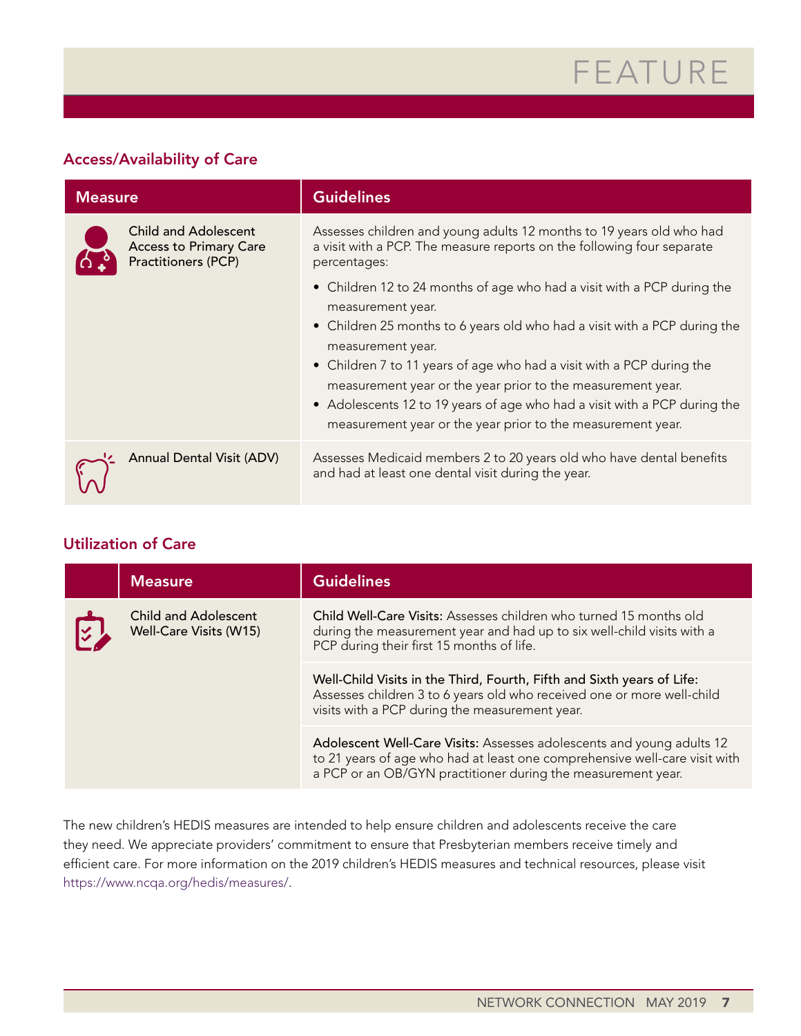# FEATURE

### Access/Availability of Care

| <b>Measure</b>                                                                             | <b>Guidelines</b>                                                                                                                                                                                                                                                                                                                                                                                                                                                                  |
|--------------------------------------------------------------------------------------------|------------------------------------------------------------------------------------------------------------------------------------------------------------------------------------------------------------------------------------------------------------------------------------------------------------------------------------------------------------------------------------------------------------------------------------------------------------------------------------|
| <b>Child and Adolescent</b><br><b>Access to Primary Care</b><br><b>Practitioners (PCP)</b> | Assesses children and young adults 12 months to 19 years old who had<br>a visit with a PCP. The measure reports on the following four separate<br>percentages:                                                                                                                                                                                                                                                                                                                     |
|                                                                                            | • Children 12 to 24 months of age who had a visit with a PCP during the<br>measurement year.<br>• Children 25 months to 6 years old who had a visit with a PCP during the<br>measurement year.<br>• Children 7 to 11 years of age who had a visit with a PCP during the<br>measurement year or the year prior to the measurement year.<br>• Adolescents 12 to 19 years of age who had a visit with a PCP during the<br>measurement year or the year prior to the measurement year. |
| <b>Annual Dental Visit (ADV)</b>                                                           | Assesses Medicaid members 2 to 20 years old who have dental benefits<br>and had at least one dental visit during the year.                                                                                                                                                                                                                                                                                                                                                         |

### Utilization of Care

| <b>Measure</b>                                        | <b>Guidelines</b>                                                                                                                                                                                                   |
|-------------------------------------------------------|---------------------------------------------------------------------------------------------------------------------------------------------------------------------------------------------------------------------|
| <b>Child and Adolescent</b><br>Well-Care Visits (W15) | Child Well-Care Visits: Assesses children who turned 15 months old<br>during the measurement year and had up to six well-child visits with a<br>PCP during their first 15 months of life.                           |
|                                                       | Well-Child Visits in the Third, Fourth, Fifth and Sixth years of Life:<br>Assesses children 3 to 6 years old who received one or more well-child<br>visits with a PCP during the measurement year.                  |
|                                                       | Adolescent Well-Care Visits: Assesses adolescents and young adults 12<br>to 21 years of age who had at least one comprehensive well-care visit with<br>a PCP or an OB/GYN practitioner during the measurement year. |

The new children's HEDIS measures are intended to help ensure children and adolescents receive the care they need. We appreciate providers' commitment to ensure that Presbyterian members receive timely and efficient care. For more information on the 2019 children's HEDIS measures and technical resources, please visit [https://www.ncqa.org/hedis/measures/.](https://www.ncqa.org/hedis/measures/)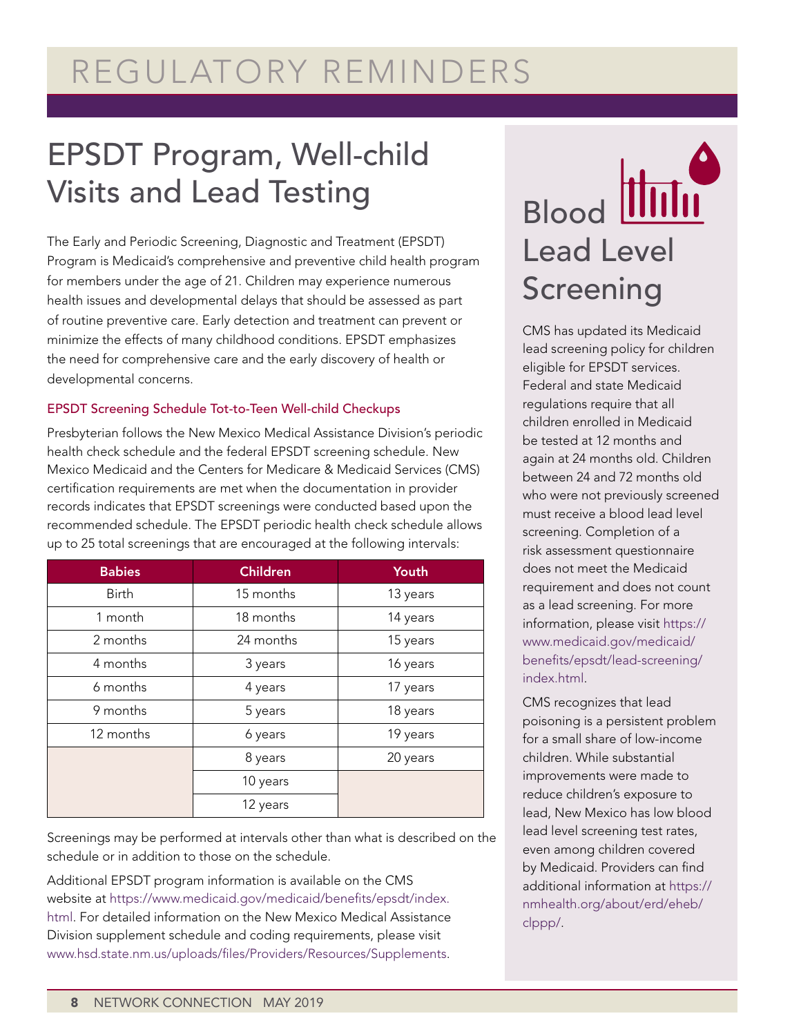# REGULATORY REMINDERS

# EPSDT Program, Well-child Visits and Lead Testing

The Early and Periodic Screening, Diagnostic and Treatment (EPSDT) Program is Medicaid's comprehensive and preventive child health program for members under the age of 21. Children may experience numerous health issues and developmental delays that should be assessed as part of routine preventive care. Early detection and treatment can prevent or minimize the effects of many childhood conditions. EPSDT emphasizes the need for comprehensive care and the early discovery of health or developmental concerns.

### EPSDT Screening Schedule Tot-to-Teen Well-child Checkups

Presbyterian follows the New Mexico Medical Assistance Division's periodic health check schedule and the federal EPSDT screening schedule. New Mexico Medicaid and the Centers for Medicare & Medicaid Services (CMS) certification requirements are met when the documentation in provider records indicates that EPSDT screenings were conducted based upon the recommended schedule. The EPSDT periodic health check schedule allows up to 25 total screenings that are encouraged at the following intervals:

| <b>Babies</b> | <b>Children</b> | Youth    |
|---------------|-----------------|----------|
| <b>Birth</b>  | 15 months       | 13 years |
| 1 month       | 18 months       | 14 years |
| 2 months      | 24 months       | 15 years |
| 4 months      | 3 years         | 16 years |
| 6 months      | 4 years         | 17 years |
| 9 months      | 5 years         | 18 years |
| 12 months     | 6 years         | 19 years |
|               | 8 years         | 20 years |
|               | 10 years        |          |
|               | 12 years        |          |

Screenings may be performed at intervals other than what is described on the schedule or in addition to those on the schedule.

Additional EPSDT program information is available on the CMS website at [https://www.medicaid.gov/medicaid/benefits/epsdt/index.](https://www.medicaid.gov/medicaid/benefits/epsdt/index.html) [html.](https://www.medicaid.gov/medicaid/benefits/epsdt/index.html) For detailed information on the New Mexico Medical Assistance Division supplement schedule and coding requirements, please visit [www.hsd.state.nm.us/uploads/files/Providers/Resources/Supplements.](http://www.hsd.state.nm.us/uploads/files/Providers/Resources/Supplements)

# Blood Hill Lead Level Screening

CMS has updated its Medicaid lead screening policy for children eligible for EPSDT services. Federal and state Medicaid regulations require that all children enrolled in Medicaid be tested at 12 months and again at 24 months old. Children between 24 and 72 months old who were not previously screened must receive a blood lead level screening. Completion of a risk assessment questionnaire does not meet the Medicaid requirement and does not count as a lead screening. For more information, please visit [https://](https://www.medicaid.gov/medicaid/benefits/epsdt/lead-screening/index.html) [www.medicaid.gov/medicaid/](https://www.medicaid.gov/medicaid/benefits/epsdt/lead-screening/index.html) [benefits/epsdt/lead-screening/](https://www.medicaid.gov/medicaid/benefits/epsdt/lead-screening/index.html) [index.html](https://www.medicaid.gov/medicaid/benefits/epsdt/lead-screening/index.html).

CMS recognizes that lead poisoning is a persistent problem for a small share of low-income children. While substantial improvements were made to reduce children's exposure to lead, New Mexico has low blood lead level screening test rates, even among children covered by Medicaid. Providers can find additional information at [https://](https://nmhealth.org/about/erd/eheb/clppp/) [nmhealth.org/about/erd/eheb/](https://nmhealth.org/about/erd/eheb/clppp/) [clppp/.](https://nmhealth.org/about/erd/eheb/clppp/)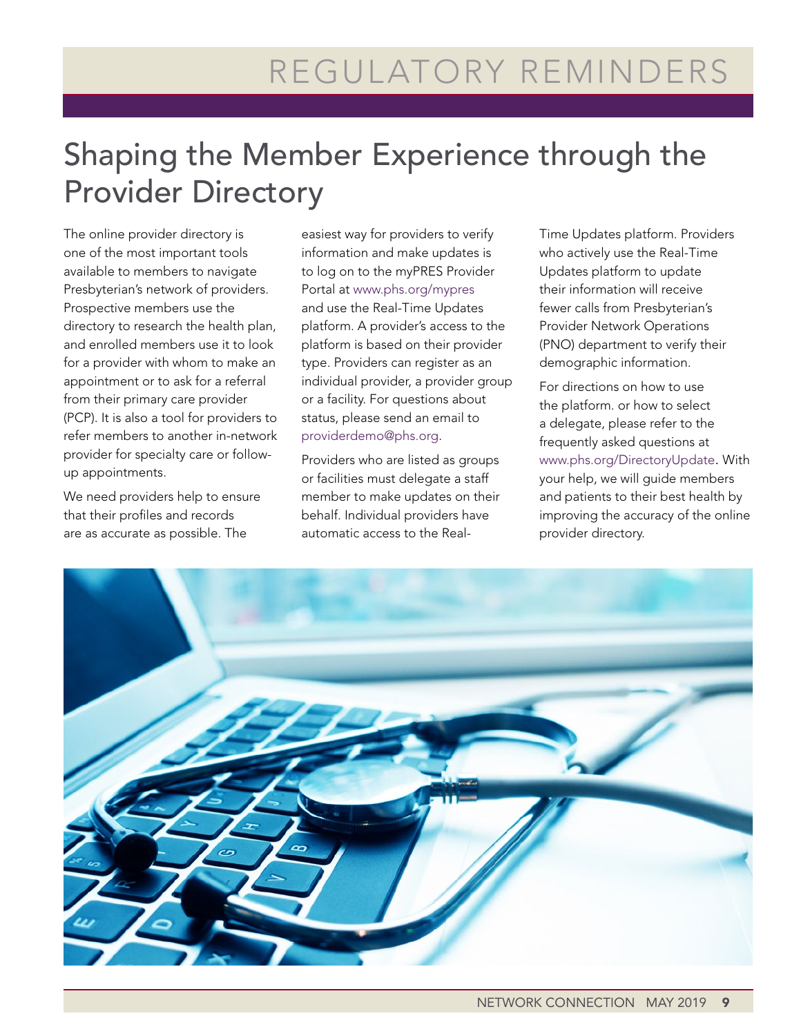# Shaping the Member Experience through the Provider Directory

The online provider directory is one of the most important tools available to members to navigate Presbyterian's network of providers. Prospective members use the directory to research the health plan, and enrolled members use it to look for a provider with whom to make an appointment or to ask for a referral from their primary care provider (PCP). It is also a tool for providers to refer members to another in-network provider for specialty care or followup appointments.

We need providers help to ensure that their profiles and records are as accurate as possible. The

easiest way for providers to verify information and make updates is to log on to the myPRES Provider Portal at www.phs.org/mypres and use the Real-Time Updates platform. A provider's access to the platform is based on their provider type. Providers can register as an individual provider, a provider group or a facility. For questions about status, please send an email to [providerdemo@phs.org](mailto:providerdemo@phs.org).

Providers who are listed as groups or facilities must delegate a staff member to make updates on their behalf. Individual providers have automatic access to the RealTime Updates platform. Providers who actively use the Real-Time Updates platform to update their information will receive fewer calls from Presbyterian's Provider Network Operations (PNO) department to verify their demographic information.

For directions on how to use the platform. or how to select a delegate, please refer to the frequently asked questions at [www.phs.org/DirectoryUpdate.](http://www.phs.org/DirectoryUpdate) With your help, we will guide members and patients to their best health by improving the accuracy of the online provider directory.